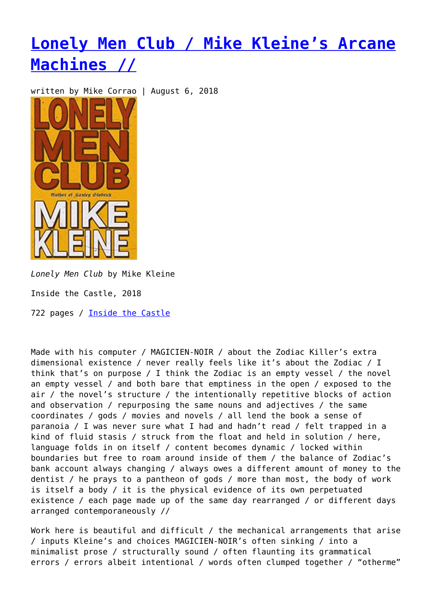## **[Lonely Men Club / Mike Kleine's Arcane](https://entropymag.org/lonely-men-club-mike-kleines-arcane-machines/) [Machines //](https://entropymag.org/lonely-men-club-mike-kleines-arcane-machines/)**

written by Mike Corrao | August 6, 2018



*Lonely Men Club* by Mike Kleine

Inside the Castle, 2018

722 pages / [Inside the Castle](http://www.insidethecastle.org/lonely-men-club/)

Made with his computer / MAGICIEN-NOIR / about the Zodiac Killer's extra dimensional existence / never really feels like it's about the Zodiac / I think that's on purpose / I think the Zodiac is an empty vessel / the novel an empty vessel / and both bare that emptiness in the open / exposed to the air / the novel's structure / the intentionally repetitive blocks of action and observation / repurposing the same nouns and adjectives / the same coordinates / gods / movies and novels / all lend the book a sense of paranoia / I was never sure what I had and hadn't read / felt trapped in a kind of fluid stasis / struck from the float and held in solution / here, language folds in on itself / content becomes dynamic / locked within boundaries but free to roam around inside of them / the balance of Zodiac's bank account always changing / always owes a different amount of money to the dentist / he prays to a pantheon of gods / more than most, the body of work is itself a body / it is the physical evidence of its own perpetuated existence / each page made up of the same day rearranged / or different days arranged contemporaneously //

Work here is beautiful and difficult / the mechanical arrangements that arise / inputs Kleine's and choices MAGICIEN-NOIR's often sinking / into a minimalist prose / structurally sound / often flaunting its grammatical errors / errors albeit intentional / words often clumped together / "otherme"